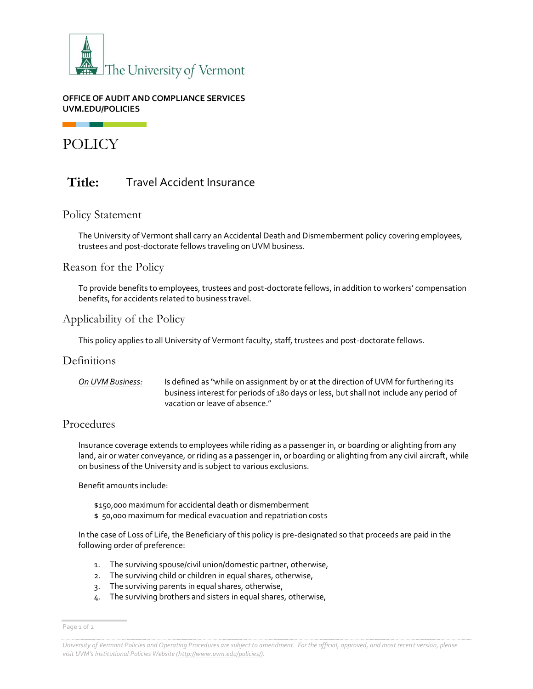

#### **OFFICE OF AUDIT AND COMPLIANCE SERVICES UVM.EDU/POLICIES**

POLICY

# Title: Travel Accident Insurance

#### Policy Statement

The University of Vermont shall carry an Accidental Death and Dismemberment policy covering employees, trustees and post-doctorate fellows traveling on UVM business.

#### Reason for the Policy

To provide benefits to employees, trustees and post-doctorate fellows, in addition to workers' compensation benefits, for accidents related to business travel.

## Applicability of the Policy

This policy applies to all University of Vermont faculty, staff, trustees and post-doctorate fellows.

#### **Definitions**

*On UVM Business:* Is defined as "while on assignment by or at the direction of UVM for furthering its business interest for periods of 180 days or less, but shall not include any period of vacation or leave of absence."

#### Procedures

Insurance coverage extends to employees while riding as a passenger in, or boarding or alighting from any land, air or water conveyance, or riding as a passenger in, or boarding or alighting from any civil aircraft, while on business of the University and is subject to various exclusions.

Benefit amounts include:

- \$150,000 maximum for accidental death or dismemberment
- \$ 50,000 maximum for medical evacuation and repatriation costs

In the case of Loss of Life, the Beneficiary of this policy is pre-designated so that proceeds are paid in the following order of preference:

- 1. The surviving spouse/civil union/domestic partner, otherwise,
- 2. The surviving child or children in equal shares, otherwise,
- 3. The surviving parents in equal shares, otherwise,
- 4. The surviving brothers and sisters in equal shares, otherwise,

Page 1 of 2